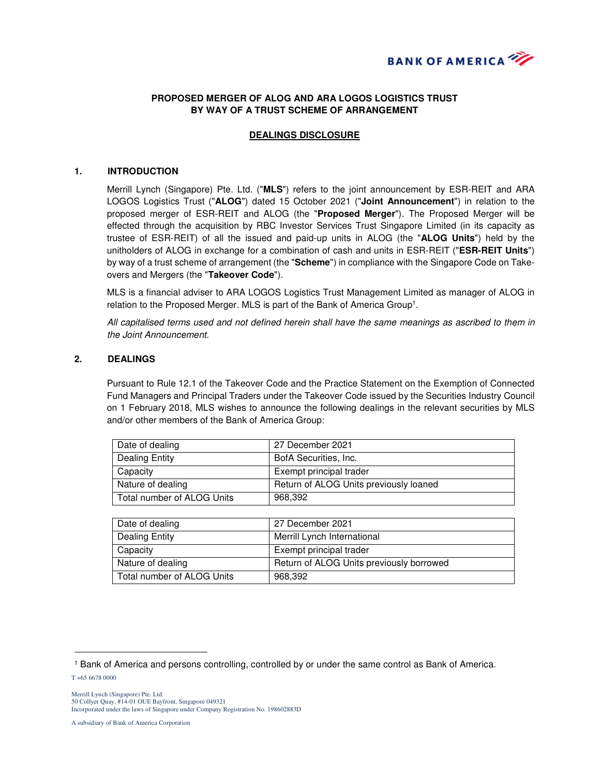

# **PROPOSED MERGER OF ALOG AND ARA LOGOS LOGISTICS TRUST BY WAY OF A TRUST SCHEME OF ARRANGEMENT**

### **DEALINGS DISCLOSURE**

#### **1. INTRODUCTION**

Merrill Lynch (Singapore) Pte. Ltd. ("**MLS**") refers to the joint announcement by ESR-REIT and ARA LOGOS Logistics Trust ("**ALOG**") dated 15 October 2021 ("**Joint Announcement**") in relation to the proposed merger of ESR-REIT and ALOG (the "**Proposed Merger**"). The Proposed Merger will be effected through the acquisition by RBC Investor Services Trust Singapore Limited (in its capacity as trustee of ESR-REIT) of all the issued and paid-up units in ALOG (the "**ALOG Units**") held by the unitholders of ALOG in exchange for a combination of cash and units in ESR-REIT ("**ESR-REIT Units**") by way of a trust scheme of arrangement (the "**Scheme**") in compliance with the Singapore Code on Takeovers and Mergers (the "**Takeover Code**").

MLS is a financial adviser to ARA LOGOS Logistics Trust Management Limited as manager of ALOG in relation to the Proposed Merger. MLS is part of the Bank of America Group<sup>1</sup>.

All capitalised terms used and not defined herein shall have the same meanings as ascribed to them in the Joint Announcement.

### **2. DEALINGS**

Pursuant to Rule 12.1 of the Takeover Code and the Practice Statement on the Exemption of Connected Fund Managers and Principal Traders under the Takeover Code issued by the Securities Industry Council on 1 February 2018, MLS wishes to announce the following dealings in the relevant securities by MLS and/or other members of the Bank of America Group:

| Date of dealing            | 27 December 2021                       |
|----------------------------|----------------------------------------|
| <b>Dealing Entity</b>      | BofA Securities, Inc.                  |
| Capacity                   | Exempt principal trader                |
| Nature of dealing          | Return of ALOG Units previously loaned |
| Total number of ALOG Units | 968.392                                |

| Date of dealing            | 27 December 2021                         |
|----------------------------|------------------------------------------|
| Dealing Entity             | Merrill Lynch International              |
| Capacity                   | Exempt principal trader                  |
| Nature of dealing          | Return of ALOG Units previously borrowed |
| Total number of ALOG Units | 968.392                                  |

 $\overline{a}$ 

<sup>1</sup> Bank of America and persons controlling, controlled by or under the same control as Bank of America.

T +65 6678 0000